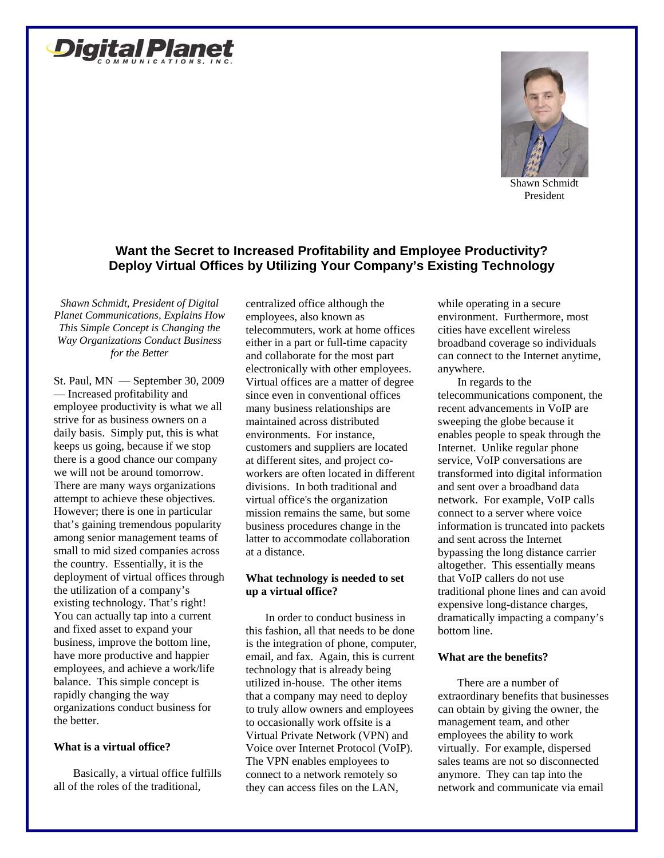



Shawn Schmidt President

# **Want the Secret to Increased Profitability and Employee Productivity? Deploy Virtual Offices by Utilizing Your Company's Existing Technology**

*Shawn Schmidt, President of Digital Planet Communications, Explains How This Simple Concept is Changing the Way Organizations Conduct Business for the Better*

St. Paul, MN — September 30, 2009 — Increased profitability and employee productivity is what we all strive for as business owners on a daily basis. Simply put, this is what keeps us going, because if we stop there is a good chance our company we will not be around tomorrow. There are many ways organizations attempt to achieve these objectives. However; there is one in particular that's gaining tremendous popularity among senior management teams of small to mid sized companies across the country. Essentially, it is the deployment of virtual offices through the utilization of a company's existing technology. That's right! You can actually tap into a current and fixed asset to expand your business, improve the bottom line, have more productive and happier employees, and achieve a work/life balance. This simple concept is rapidly changing the way organizations conduct business for the better.

## **What is a virtual office?**

Basically, a virtual office fulfills all of the roles of the traditional,

centralized office although the employees, also known as telecommuters, work at home offices either in a part or full-time capacity and collaborate for the most part electronically with other employees. Virtual offices are a matter of degree since even in conventional offices many business relationships are maintained across distributed environments. For instance, customers and suppliers are located at different sites, and project coworkers are often located in different divisions. In both traditional and virtual office's the organization mission remains the same, but some business procedures change in the latter to accommodate collaboration at a distance.

## **What technology is needed to set up a virtual office?**

In order to conduct business in this fashion, all that needs to be done is the integration of phone, computer, email, and fax. Again, this is current technology that is already being utilized in-house. The other items that a company may need to deploy to truly allow owners and employees to occasionally work offsite is a Virtual Private Network (VPN) and Voice over Internet Protocol (VoIP). The VPN enables employees to connect to a network remotely so they can access files on the LAN,

while operating in a secure environment. Furthermore, most cities have excellent wireless broadband coverage so individuals can connect to the Internet anytime, anywhere.

In regards to the telecommunications component, the recent advancements in VoIP are sweeping the globe because it enables people to speak through the Internet. Unlike regular phone service, VoIP conversations are transformed into digital information and sent over a broadband data network. For example, VoIP calls connect to a server where voice information is truncated into packets and sent across the Internet bypassing the long distance carrier altogether. This essentially means that VoIP callers do not use traditional phone lines and can avoid expensive long-distance charges, dramatically impacting a company's bottom line.

## **What are the benefits?**

There are a number of extraordinary benefits that businesses can obtain by giving the owner, the management team, and other employees the ability to work virtually. For example, dispersed sales teams are not so disconnected anymore. They can tap into the network and communicate via email